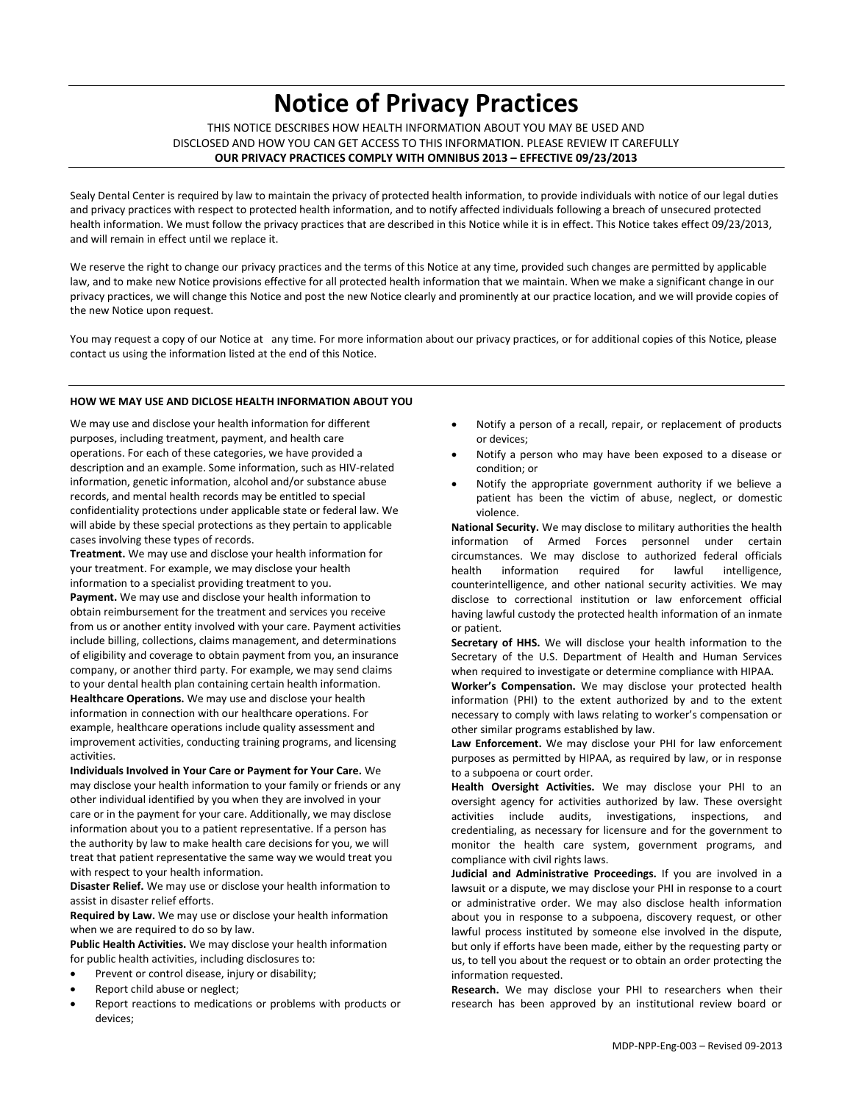# **Notice of Privacy Practices**

THIS NOTICE DESCRIBES HOW HEALTH INFORMATION ABOUT YOU MAY BE USED AND DISCLOSED AND HOW YOU CAN GET ACCESS TO THIS INFORMATION. PLEASE REVIEW IT CAREFULLY **OUR PRIVACY PRACTICES COMPLY WITH OMNIBUS 2013 – EFFECTIVE 09/23/2013**

Sealy Dental Center is required by law to maintain the privacy of protected health information, to provide individuals with notice of our legal duties and privacy practices with respect to protected health information, and to notify affected individuals following a breach of unsecured protected health information. We must follow the privacy practices that are described in this Notice while it is in effect. This Notice takes effect 09/23/2013, and will remain in effect until we replace it.

We reserve the right to change our privacy practices and the terms of this Notice at any time, provided such changes are permitted by applicable law, and to make new Notice provisions effective for all protected health information that we maintain. When we make a significant change in our privacy practices, we will change this Notice and post the new Notice clearly and prominently at our practice location, and we will provide copies of the new Notice upon request.

You may request a copy of our Notice at any time. For more information about our privacy practices, or for additional copies of this Notice, please contact us using the information listed at the end of this Notice.

## **HOW WE MAY USE AND DICLOSE HEALTH INFORMATION ABOUT YOU**

We may use and disclose your health information for different purposes, including treatment, payment, and health care operations. For each of these categories, we have provided a description and an example. Some information, such as HIV-related information, genetic information, alcohol and/or substance abuse records, and mental health records may be entitled to special confidentiality protections under applicable state or federal law. We will abide by these special protections as they pertain to applicable cases involving these types of records.

**Treatment.** We may use and disclose your health information for your treatment. For example, we may disclose your health information to a specialist providing treatment to you. **Payment.** We may use and disclose your health information to obtain reimbursement for the treatment and services you receive from us or another entity involved with your care. Payment activities include billing, collections, claims management, and determinations of eligibility and coverage to obtain payment from you, an insurance company, or another third party. For example, we may send claims to your dental health plan containing certain health information. **Healthcare Operations.** We may use and disclose your health

information in connection with our healthcare operations. For example, healthcare operations include quality assessment and improvement activities, conducting training programs, and licensing activities.

**Individuals Involved in Your Care or Payment for Your Care.** We may disclose your health information to your family or friends or any other individual identified by you when they are involved in your care or in the payment for your care. Additionally, we may disclose information about you to a patient representative. If a person has the authority by law to make health care decisions for you, we will treat that patient representative the same way we would treat you with respect to your health information.

**Disaster Relief.** We may use or disclose your health information to assist in disaster relief efforts.

**Required by Law.** We may use or disclose your health information when we are required to do so by law.

**Public Health Activities.** We may disclose your health information for public health activities, including disclosures to:

- Prevent or control disease, injury or disability;
- Report child abuse or neglect;
- Report reactions to medications or problems with products or devices;
- Notify a person of a recall, repair, or replacement of products or devices;
- Notify a person who may have been exposed to a disease or condition; or
- Notify the appropriate government authority if we believe a patient has been the victim of abuse, neglect, or domestic violence.

**National Security.** We may disclose to military authorities the health information of Armed Forces personnel under certain circumstances. We may disclose to authorized federal officials health information required for lawful intelligence, counterintelligence, and other national security activities. We may disclose to correctional institution or law enforcement official having lawful custody the protected health information of an inmate or patient.

**Secretary of HHS.** We will disclose your health information to the Secretary of the U.S. Department of Health and Human Services when required to investigate or determine compliance with HIPAA.

**Worker's Compensation.** We may disclose your protected health information (PHI) to the extent authorized by and to the extent necessary to comply with laws relating to worker's compensation or other similar programs established by law.

**Law Enforcement.** We may disclose your PHI for law enforcement purposes as permitted by HIPAA, as required by law, or in response to a subpoena or court order.

**Health Oversight Activities.** We may disclose your PHI to an oversight agency for activities authorized by law. These oversight activities include audits, investigations, inspections, and credentialing, as necessary for licensure and for the government to monitor the health care system, government programs, and compliance with civil rights laws.

**Judicial and Administrative Proceedings.** If you are involved in a lawsuit or a dispute, we may disclose your PHI in response to a court or administrative order. We may also disclose health information about you in response to a subpoena, discovery request, or other lawful process instituted by someone else involved in the dispute, but only if efforts have been made, either by the requesting party or us, to tell you about the request or to obtain an order protecting the information requested.

**Research.** We may disclose your PHI to researchers when their research has been approved by an institutional review board or